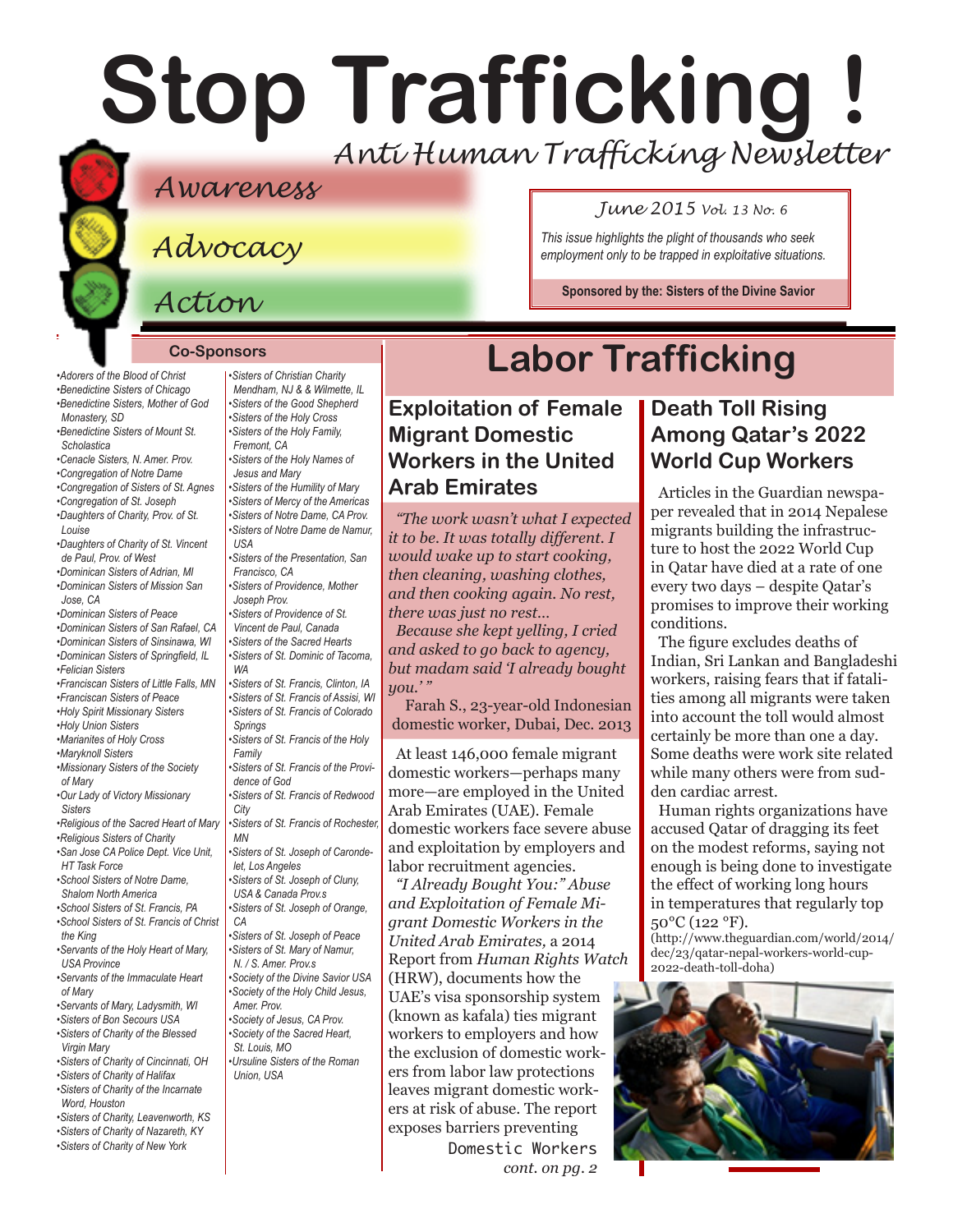# **Stop Trafficking !** *Anti Human Trafficking Newsletter*

## *Awareness*

*Advocacy*

*Action*

*•Adorers of the Blood of Christ •Benedictine Sisters of Chicago* 

#### **Co-Sponsors**

*•Sisters of Christian Charity Mendham, NJ & & Wilmette, IL* 

*•Benedictine Sisters, Mother of God Monastery, SD •Benedictine Sisters of Mount St. Scholastica •Cenacle Sisters, N. Amer. Prov. •Congregation of Notre Dame •Congregation of Sisters of St. Agnes •Congregation of St. Joseph •Daughters of Charity, Prov. of St. Louise •Daughters of Charity of St. Vincent de Paul, Prov. of West •Dominican Sisters of Adrian, MI •Dominican Sisters of Mission San Jose, CA •Dominican Sisters of Peace •Dominican Sisters of San Rafael, CA •Dominican Sisters of Sinsinawa, WI •Dominican Sisters of Springfield, IL •Felician Sisters •Franciscan Sisters of Little Falls, MN •Franciscan Sisters of Peace •Holy Spirit Missionary Sisters •Holy Union Sisters •Marianites of Holy Cross •Maryknoll Sisters •Missionary Sisters of the Society of Mary •Our Lady of Victory Missionary Sisters •Religious of the Sacred Heart of Mary •Religious Sisters of Charity •San Jose CA Police Dept. Vice Unit, HT Task Force •School Sisters of Notre Dame, Shalom North America •School Sisters of St. Francis, PA •School Sisters of St. Francis of Christ the King •Servants of the Holy Heart of Mary, USA Province •Servants of the Immaculate Heart of Mary •Servants of Mary, Ladysmith, WI •Sisters of Bon Secours USA •Sisters of Charity of the Blessed Virgin Mary •Sisters of Charity of Cincinnati, OH •Sisters of Charity of Halifax •Sisters of Charity of the Incarnate Word, Houston •Sisters of Charity, Leavenworth, KS •Sisters of Charity of Nazareth, KY •Sisters of the Good Shepherd USA WA Family City MN CA* 

*•Sisters of Charity of New York* 

*•Sisters of the Holy Cross •Sisters of the Holy Family, Fremont, CA •Sisters of the Holy Names of Jesus and Mary •Sisters of the Humility of Mary •Sisters of Mercy of the Americas •Sisters of Notre Dame, CA Prov. •Sisters of Notre Dame de Namur, •Sisters of the Presentation, San Francisco, CA •Sisters of Providence, Mother Joseph Prov. •Sisters of Providence of St. Vincent de Paul, Canada •Sisters of the Sacred Hearts •Sisters of St. Dominic of Tacoma, •Sisters of St. Francis, Clinton, IA •Sisters of St. Francis of Assisi, WI •Sisters of St. Francis of Colorado Springs •Sisters of St. Francis of the Holy •Sisters of St. Francis of the Providence of God •Sisters of St. Francis of Redwood •Sisters of St. Francis of Rochester, •Sisters of St. Joseph of Carondelet, Los Angeles •Sisters of St. Joseph of Cluny, USA & Canada Prov.s •Sisters of St. Joseph of Orange, •Sisters of St. Joseph of Peace •Sisters of St. Mary of Namur, N. / S. Amer. Prov.s •Society of the Divine Savior USA •Society of the Holy Child Jesus, Amer. Prov. •Society of Jesus, CA Prov. •Society of the Sacred Heart, St. Louis, MO •Ursuline Sisters of the Roman Union, USA*

# **Labor Trafficking**

### **Exploitation of Female Migrant Domestic Workers in the United Arab Emirates**

*"The work wasn't what I expected it to be. It was totally different. I would wake up to start cooking, then cleaning, washing clothes, and then cooking again. No rest, there was just no rest…* 

*Because she kept yelling, I cried and asked to go back to agency, but madam said 'I already bought you.' "* 

Farah S., 23-year-old Indonesian domestic worker, Dubai, Dec. 2013

At least 146,000 female migrant domestic workers—perhaps many more—are employed in the United Arab Emirates (UAE). Female domestic workers face severe abuse and exploitation by employers and labor recruitment agencies.

Domestic Workers *cont. on pg. 2 "I Already Bought You:" Abuse and Exploitation of Female Migrant Domestic Workers in the United Arab Emirates,* a 2014 Report from *Human Rights Watch*  (HRW), documents how the UAE's visa sponsorship system (known as kafala) ties migrant workers to employers and how the exclusion of domestic workers from labor law protections leaves migrant domestic workers at risk of abuse. The report exposes barriers preventing

#### *June 2015 Vol. 13 No. 6*

*This issue highlights the plight of thousands who seek employment only to be trapped in exploitative situations.*

**Sponsored by the: [Sisters of the Divine Savior](http://www.sistersofthedivinesavior.org)**

# **Death Toll Rising Among Qatar's 2022**

**World Cup Workers** Articles in the Guardian newspaper revealed that in 2014 Nepalese migrants building the infrastructure to host the 2022 World Cup in Qatar have died at a rate of one every two days – despite Qatar's promises to improve their working

conditions. The figure excludes deaths of Indian, Sri Lankan and Bangladeshi workers, raising fears that if fatalities among all migrants were taken into account the toll would almost certainly be more than one a day. Some deaths were work site related while many others were from sudden cardiac arrest.

Human rights organizations have accused Qatar of dragging its feet on the modest reforms, saying not enough is being done to investigate the effect of working long hours in temperatures that regularly top 50°C (122 °F).

[\(http://www.theguardian.com/world/2014/](http://www.theguardian.com/world/2014/dec/23/qatar-nepal-workers-world-cup-2022-death-toll-doha) [dec/23/qatar-nepal-workers-world-cup-](http://www.theguardian.com/world/2014/dec/23/qatar-nepal-workers-world-cup-2022-death-toll-doha)[2022-death-toll-doha\)](http://www.theguardian.com/world/2014/dec/23/qatar-nepal-workers-world-cup-2022-death-toll-doha)

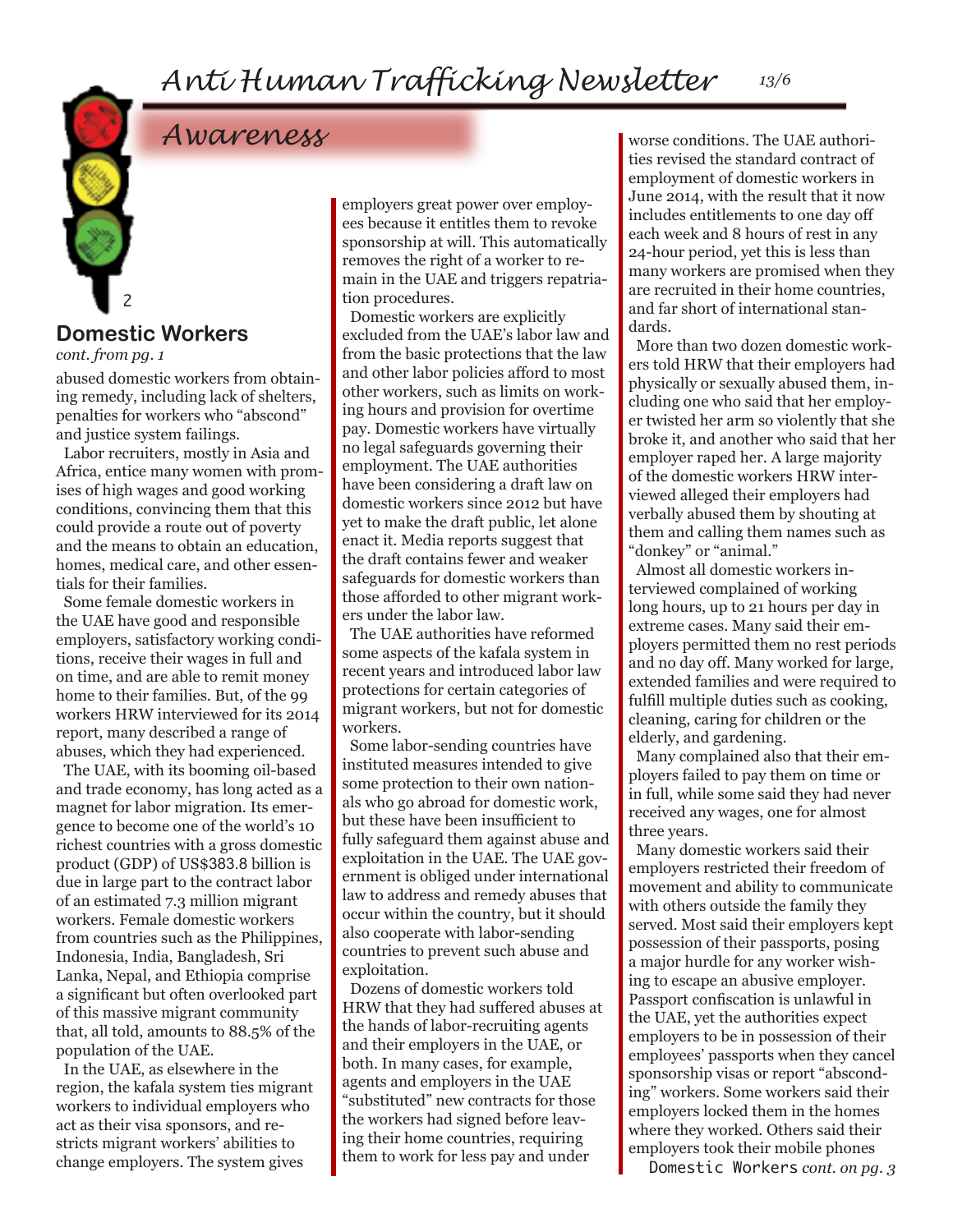## *Awareness*

#### 2 **Domestic Workers**

*cont. from pg. 1*

abused domestic workers from obtaining remedy, including lack of shelters, penalties for workers who "abscond" and justice system failings.

Labor recruiters, mostly in Asia and Africa, entice many women with promises of high wages and good working conditions, convincing them that this could provide a route out of poverty and the means to obtain an education, homes, medical care, and other essentials for their families.

Some female domestic workers in the UAE have good and responsible employers, satisfactory working conditions, receive their wages in full and on time, and are able to remit money home to their families. But, of the 99 workers HRW interviewed for its 2014 report, many described a range of abuses, which they had experienced.

The UAE, with its booming oil-based and trade economy, has long acted as a magnet for labor migration. Its emergence to become one of the world's 10 richest countries with a gross domestic product (GDP) of US\$383.8 billion is due in large part to the contract labor of an estimated 7.3 million migrant workers. Female domestic workers from countries such as the Philippines, Indonesia, India, Bangladesh, Sri Lanka, Nepal, and Ethiopia comprise a significant but often overlooked part of this massive migrant community that, all told, amounts to 88.5% of the population of the UAE.

In the UAE, as elsewhere in the region, the kafala system ties migrant workers to individual employers who act as their visa sponsors, and restricts migrant workers' abilities to change employers. The system gives

employers great power over employees because it entitles them to revoke sponsorship at will. This automatically removes the right of a worker to remain in the UAE and triggers repatriation procedures.

Domestic workers are explicitly excluded from the UAE's labor law and from the basic protections that the law and other labor policies afford to most other workers, such as limits on working hours and provision for overtime pay. Domestic workers have virtually no legal safeguards governing their employment. The UAE authorities have been considering a draft law on domestic workers since 2012 but have yet to make the draft public, let alone enact it. Media reports suggest that the draft contains fewer and weaker safeguards for domestic workers than those afforded to other migrant workers under the labor law.

The UAE authorities have reformed some aspects of the kafala system in recent years and introduced labor law protections for certain categories of migrant workers, but not for domestic workers.

Some labor-sending countries have instituted measures intended to give some protection to their own nationals who go abroad for domestic work, but these have been insufficient to fully safeguard them against abuse and exploitation in the UAE. The UAE government is obliged under international law to address and remedy abuses that occur within the country, but it should also cooperate with labor-sending countries to prevent such abuse and exploitation.

Dozens of domestic workers told HRW that they had suffered abuses at the hands of labor-recruiting agents and their employers in the UAE, or both. In many cases, for example, agents and employers in the UAE "substituted" new contracts for those the workers had signed before leaving their home countries, requiring them to work for less pay and under

worse conditions. The UAE authorities revised the standard contract of employment of domestic workers in June 2014, with the result that it now includes entitlements to one day off each week and 8 hours of rest in any 24-hour period, yet this is less than many workers are promised when they are recruited in their home countries, and far short of international standards.

More than two dozen domestic workers told HRW that their employers had physically or sexually abused them, including one who said that her employer twisted her arm so violently that she broke it, and another who said that her employer raped her. A large majority of the domestic workers HRW interviewed alleged their employers had verbally abused them by shouting at them and calling them names such as "donkey" or "animal."

Almost all domestic workers interviewed complained of working long hours, up to 21 hours per day in extreme cases. Many said their employers permitted them no rest periods and no day off. Many worked for large, extended families and were required to fulfill multiple duties such as cooking, cleaning, caring for children or the elderly, and gardening.

Many complained also that their employers failed to pay them on time or in full, while some said they had never received any wages, one for almost three years.

Many domestic workers said their employers restricted their freedom of movement and ability to communicate with others outside the family they served. Most said their employers kept possession of their passports, posing a major hurdle for any worker wishing to escape an abusive employer. Passport confiscation is unlawful in the UAE, yet the authorities expect employers to be in possession of their employees' passports when they cancel sponsorship visas or report "absconding" workers. Some workers said their employers locked them in the homes where they worked. Others said their employers took their mobile phones

Domestic Workers *cont. on pg. 3*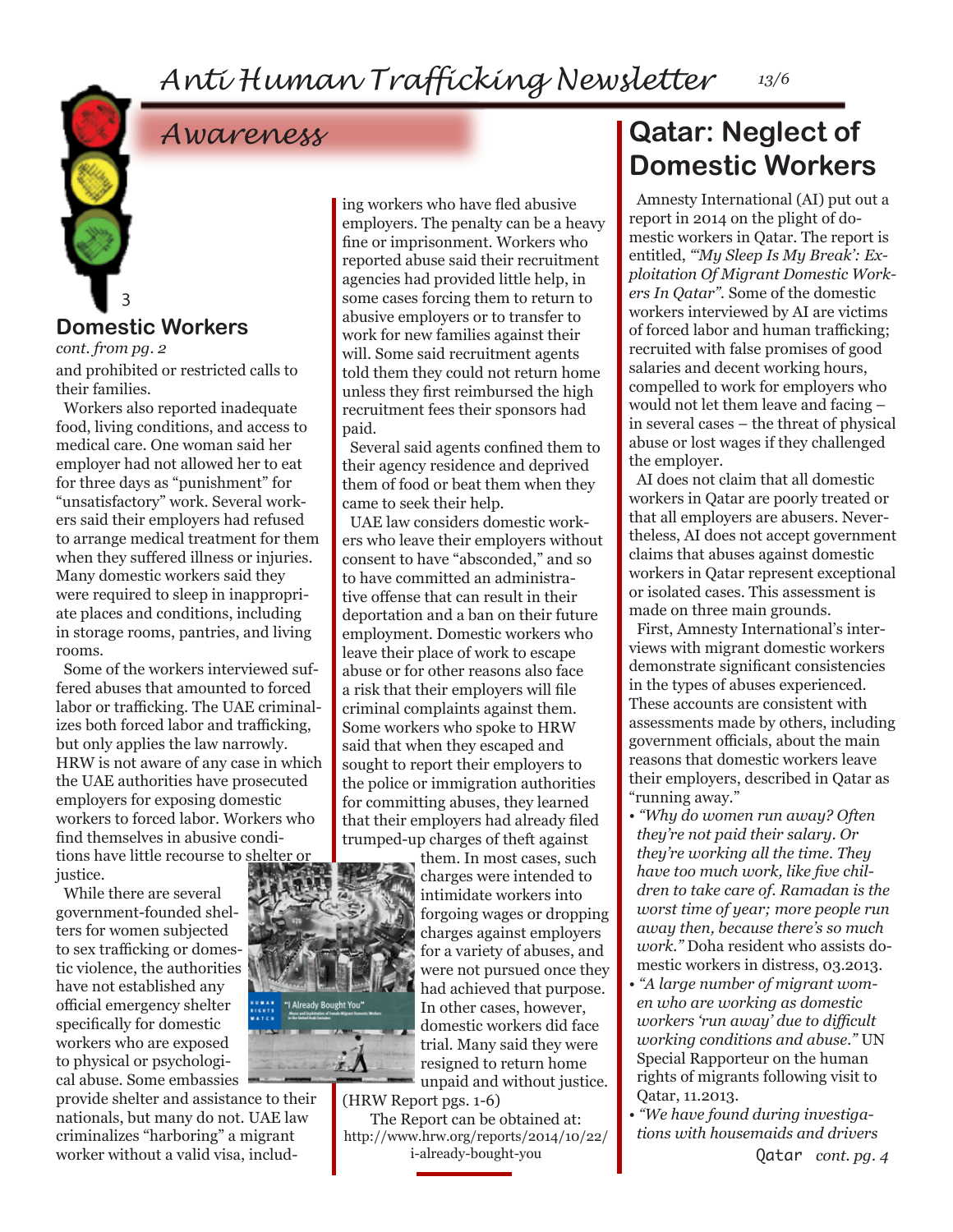# *Awareness*

#### **Domestic Workers**

*cont. from pg. 2*

3

and prohibited or restricted calls to their families.

Workers also reported inadequate food, living conditions, and access to medical care. One woman said her employer had not allowed her to eat for three days as "punishment" for "unsatisfactory" work. Several workers said their employers had refused to arrange medical treatment for them when they suffered illness or injuries. Many domestic workers said they were required to sleep in inappropriate places and conditions, including in storage rooms, pantries, and living rooms.

Some of the workers interviewed suffered abuses that amounted to forced labor or trafficking. The UAE criminalizes both forced labor and trafficking, but only applies the law narrowly. HRW is not aware of any case in which the UAE authorities have prosecuted employers for exposing domestic workers to forced labor. Workers who find themselves in abusive conditions have little recourse to shelter or justice.

While there are several government-founded shelters for women subjected to sex trafficking or domestic violence, the authorities have not established any official emergency shelter specifically for domestic workers who are exposed to physical or psychological abuse. Some embassies

provide shelter and assistance to their nationals, but many do not. UAE law criminalizes "harboring" a migrant worker without a valid visa, includ-

ing workers who have fled abusive employers. The penalty can be a heavy fine or imprisonment. Workers who reported abuse said their recruitment agencies had provided little help, in some cases forcing them to return to abusive employers or to transfer to work for new families against their will. Some said recruitment agents told them they could not return home unless they first reimbursed the high recruitment fees their sponsors had paid.

Several said agents confined them to their agency residence and deprived them of food or beat them when they came to seek their help.

UAE law considers domestic workers who leave their employers without consent to have "absconded," and so to have committed an administrative offense that can result in their deportation and a ban on their future employment. Domestic workers who leave their place of work to escape abuse or for other reasons also face a risk that their employers will file criminal complaints against them. Some workers who spoke to HRW said that when they escaped and sought to report their employers to the police or immigration authorities for committing abuses, they learned that their employers had already filed trumped-up charges of theft against

them. In most cases, such charges were intended to intimidate workers into forgoing wages or dropping charges against employers for a variety of abuses, and were not pursued once they had achieved that purpose. In other cases, however, domestic workers did face trial. Many said they were resigned to return home unpaid and without justice.

(HRW Report pgs. 1-6)

The Report can be obtained at: [http://www.hrw.org/reports/2014/10/22/](http://www.hrw.org/reports/2014/10/22/i-already-bought-you) [i-already-bought-you](http://www.hrw.org/reports/2014/10/22/i-already-bought-you)

## **Qatar: Neglect of Domestic Workers**

Amnesty International (AI) put out a report in 2014 on the plight of domestic workers in Qatar. The report is entitled, *"'My Sleep Is My Break': Exploitation Of Migrant Domestic Workers In Qatar".* Some of the domestic workers interviewed by AI are victims of forced labor and human trafficking; recruited with false promises of good salaries and decent working hours, compelled to work for employers who would not let them leave and facing – in several cases – the threat of physical abuse or lost wages if they challenged the employer.

AI does not claim that all domestic workers in Qatar are poorly treated or that all employers are abusers. Nevertheless, AI does not accept government claims that abuses against domestic workers in Qatar represent exceptional or isolated cases. This assessment is made on three main grounds.

First, Amnesty International's interviews with migrant domestic workers demonstrate significant consistencies in the types of abuses experienced. These accounts are consistent with assessments made by others, including government officials, about the main reasons that domestic workers leave their employers, described in Qatar as "running away."

- *"Why do women run away? Often they're not paid their salary. Or they're working all the time. They have too much work, like five children to take care of. Ramadan is the worst time of year; more people run away then, because there's so much work."* Doha resident who assists domestic workers in distress, 03.2013.
- *"A large number of migrant women who are working as domestic workers 'run away' due to difficult working conditions and abuse."* UN Special Rapporteur on the human rights of migrants following visit to Qatar, 11.2013.
- *"We have found during investigations with housemaids and drivers*

Qatar *cont. pg. 4*



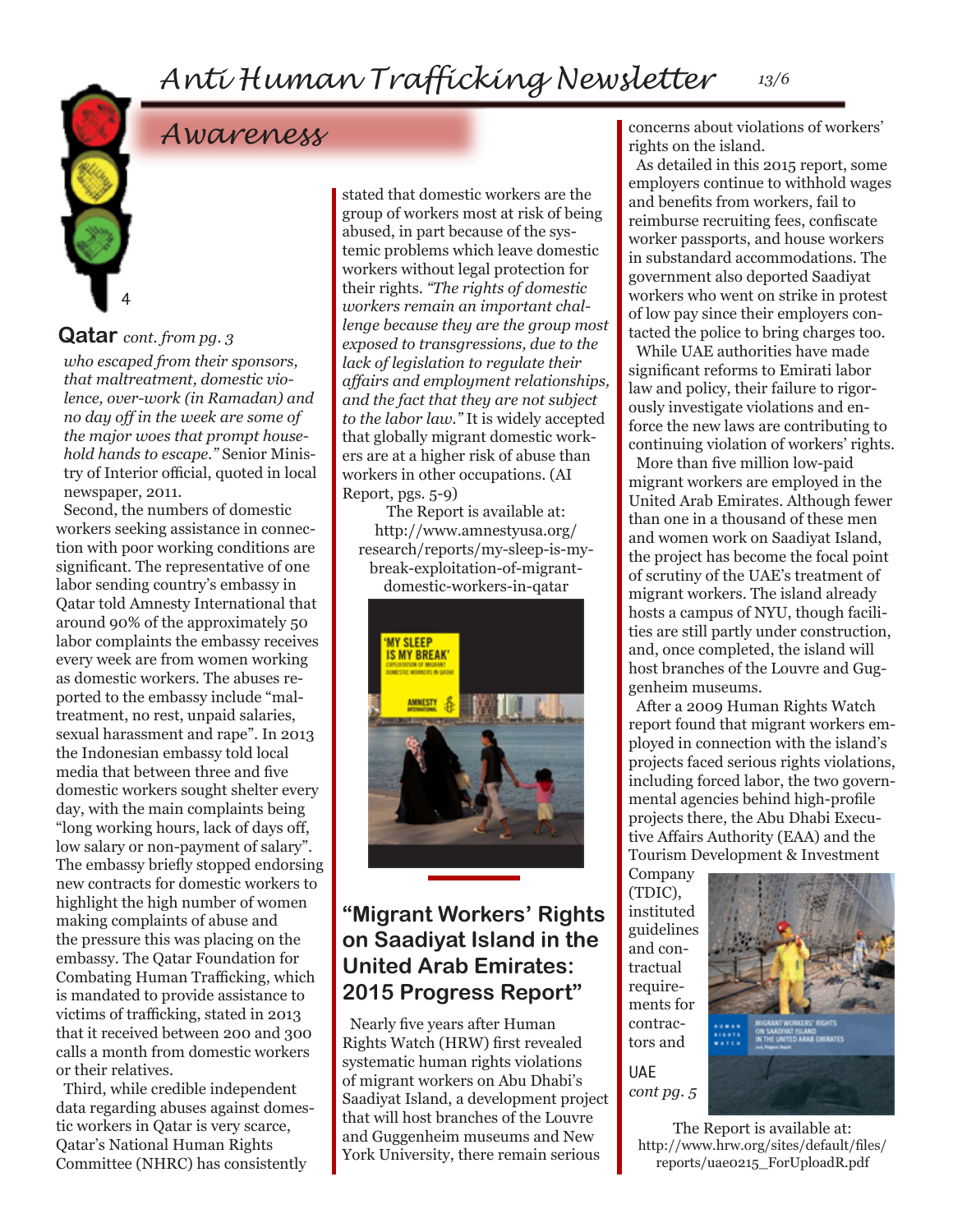# *Awareness*

#### **Qatar** *cont. from pg. 3*

4

*who escaped from their sponsors, that maltreatment, domestic violence, over-work (in Ramadan) and no day off in the week are some of the major woes that prompt household hands to escape."* Senior Ministry of Interior official, quoted in local newspaper, 2011.

Second, the numbers of domestic workers seeking assistance in connection with poor working conditions are significant. The representative of one labor sending country's embassy in Qatar told Amnesty International that around 90% of the approximately 50 labor complaints the embassy receives every week are from women working as domestic workers. The abuses reported to the embassy include "maltreatment, no rest, unpaid salaries, sexual harassment and rape". In 2013 the Indonesian embassy told local media that between three and five domestic workers sought shelter every day, with the main complaints being "long working hours, lack of days off, low salary or non-payment of salary". The embassy briefly stopped endorsing new contracts for domestic workers to highlight the high number of women making complaints of abuse and the pressure this was placing on the embassy. The Qatar Foundation for Combating Human Trafficking, which is mandated to provide assistance to victims of trafficking, stated in 2013 that it received between 200 and 300 calls a month from domestic workers or their relatives.

Third, while credible independent data regarding abuses against domestic workers in Qatar is very scarce, Qatar's National Human Rights Committee (NHRC) has consistently

stated that domestic workers are the group of workers most at risk of being abused, in part because of the systemic problems which leave domestic workers without legal protection for their rights. *"The rights of domestic workers remain an important challenge because they are the group most exposed to transgressions, due to the lack of legislation to regulate their affairs and employment relationships, and the fact that they are not subject to the labor law."* It is widely accepted that globally migrant domestic workers are at a higher risk of abuse than workers in other occupations. (AI Report, pgs. 5-9)

The Report is available at: [http://www.amnestyusa.org/](http://www.amnestyusa.org/research/reports/my-sleep-is-my-break-exploitation-of-migrant-domestic-workers-in-qatar) [research/reports/my-sleep-is-my](http://www.amnestyusa.org/research/reports/my-sleep-is-my-break-exploitation-of-migrant-domestic-workers-in-qatar)[break-exploitation-of-migrant-](http://www.amnestyusa.org/research/reports/my-sleep-is-my-break-exploitation-of-migrant-domestic-workers-in-qatar)

[domestic-workers-in-qatar](http://www.amnestyusa.org/research/reports/my-sleep-is-my-break-exploitation-of-migrant-domestic-workers-in-qatar)



#### **"Migrant Workers' Rights on Saadiyat Island in the United Arab Emirates: 2015 Progress Report"**

Nearly five years after Human Rights Watch (HRW) first revealed systematic human rights violations of migrant workers on Abu Dhabi's Saadiyat Island, a development project that will host branches of the Louvre and Guggenheim museums and New York University, there remain serious

concerns about violations of workers' rights on the island.

As detailed in this 2015 report, some employers continue to withhold wages and benefits from workers, fail to reimburse recruiting fees, confiscate worker passports, and house workers in substandard accommodations. The government also deported Saadiyat workers who went on strike in protest of low pay since their employers contacted the police to bring charges too.

While UAE authorities have made significant reforms to Emirati labor law and policy, their failure to rigorously investigate violations and enforce the new laws are contributing to continuing violation of workers' rights. More than five million low-paid migrant workers are employed in the United Arab Emirates. Although fewer than one in a thousand of these men and women work on Saadiyat Island, the project has become the focal point of scrutiny of the UAE's treatment of migrant workers. The island already hosts a campus of NYU, though facilities are still partly under construction, and, once completed, the island will host branches of the Louvre and Guggenheim museums.

After a 2009 Human Rights Watch report found that migrant workers employed in connection with the island's projects faced serious rights violations, including forced labor, the two governmental agencies behind high-profile projects there, the Abu Dhabi Executive Affairs Authority (EAA) and the Tourism Development & Investment

Company (TDIC), instituted guidelines and contractual requirements for contractors and UAE

*cont pg. 5*

The Report is available at: [http://www.hrw.org/sites/default/files/](http://www.hrw.org/sites/default/files/reports/uae0215_ForUploadR.pdf) [reports/uae0215\\_ForUploadR.pdf](http://www.hrw.org/sites/default/files/reports/uae0215_ForUploadR.pdf)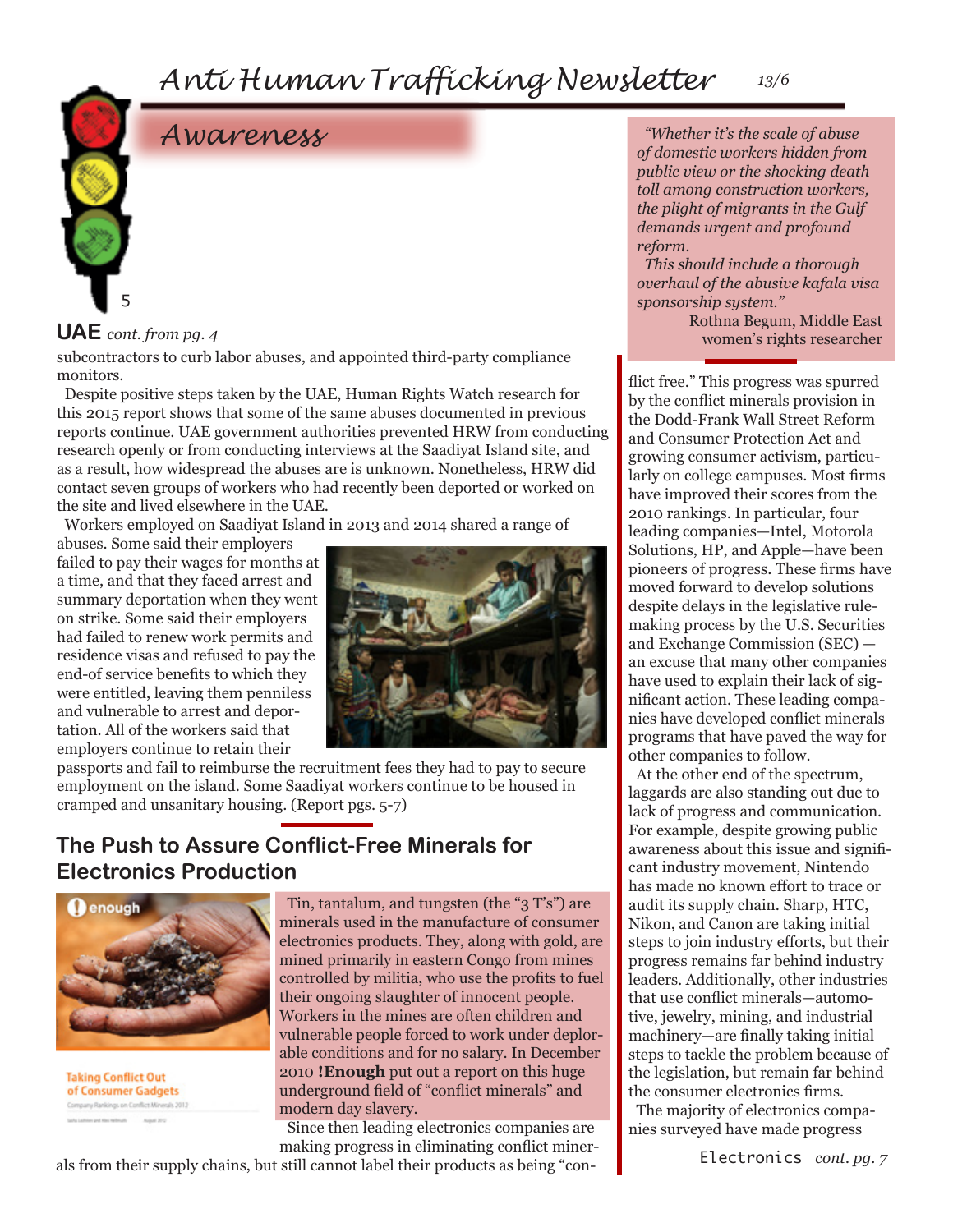#### *Anti Human Trafficking Newsletter 13/6*

# *Awareness*



#### **UAE** *cont. from pg. 4*

subcontractors to curb labor abuses, and appointed third-party compliance monitors.

Despite positive steps taken by the UAE, Human Rights Watch research for this 2015 report shows that some of the same abuses documented in previous reports continue. UAE government authorities prevented HRW from conducting research openly or from conducting interviews at the Saadiyat Island site, and as a result, how widespread the abuses are is unknown. Nonetheless, HRW did contact seven groups of workers who had recently been deported or worked on the site and lived elsewhere in the UAE.

Workers employed on Saadiyat Island in 2013 and 2014 shared a range of

abuses. Some said their employers failed to pay their wages for months at a time, and that they faced arrest and summary deportation when they went on strike. Some said their employers had failed to renew work permits and residence visas and refused to pay the end-of service benefits to which they were entitled, leaving them penniless and vulnerable to arrest and deportation. All of the workers said that employers continue to retain their



passports and fail to reimburse the recruitment fees they had to pay to secure employment on the island. Some Saadiyat workers continue to be housed in cramped and unsanitary housing. (Report pgs. 5-7)

#### **The Push to Assure Conflict-Free Minerals for Electronics Production**



**Taking Conflict Out** of Consumer Gadgets Company Rankings on Conflict Minerals 2012

Tin, tantalum, and tungsten (the "3 T's") are minerals used in the manufacture of consumer electronics products. They, along with gold, are mined primarily in eastern Congo from mines controlled by militia, who use the profits to fuel their ongoing slaughter of innocent people. Workers in the mines are often children and vulnerable people forced to work under deplorable conditions and for no salary. In December 2010 **!Enough** put out a report on this huge underground field of "conflict minerals" and modern day slavery.

Since then leading electronics companies are making progress in eliminating conflict miner-

als from their supply chains, but still cannot label their products as being "con-

*"Whether it's the scale of abuse of domestic workers hidden from public view or the shocking death toll among construction workers, the plight of migrants in the Gulf demands urgent and profound reform.* 

*This should include a thorough overhaul of the abusive kafala visa sponsorship system."*

> Rothna Begum, Middle East women's rights researcher

flict free." This progress was spurred by the conflict minerals provision in the Dodd-Frank Wall Street Reform and Consumer Protection Act and growing consumer activism, particularly on college campuses. Most firms have improved their scores from the 2010 rankings. In particular, four leading companies—Intel, Motorola Solutions, HP, and Apple—have been pioneers of progress. These firms have moved forward to develop solutions despite delays in the legislative rulemaking process by the U.S. Securities and Exchange Commission (SEC) an excuse that many other companies have used to explain their lack of significant action. These leading companies have developed conflict minerals programs that have paved the way for other companies to follow.

At the other end of the spectrum, laggards are also standing out due to lack of progress and communication. For example, despite growing public awareness about this issue and significant industry movement, Nintendo has made no known effort to trace or audit its supply chain. Sharp, HTC, Nikon, and Canon are taking initial steps to join industry efforts, but their progress remains far behind industry leaders. Additionally, other industries that use conflict minerals—automotive, jewelry, mining, and industrial machinery—are finally taking initial steps to tackle the problem because of the legislation, but remain far behind the consumer electronics firms.

The majority of electronics companies surveyed have made progress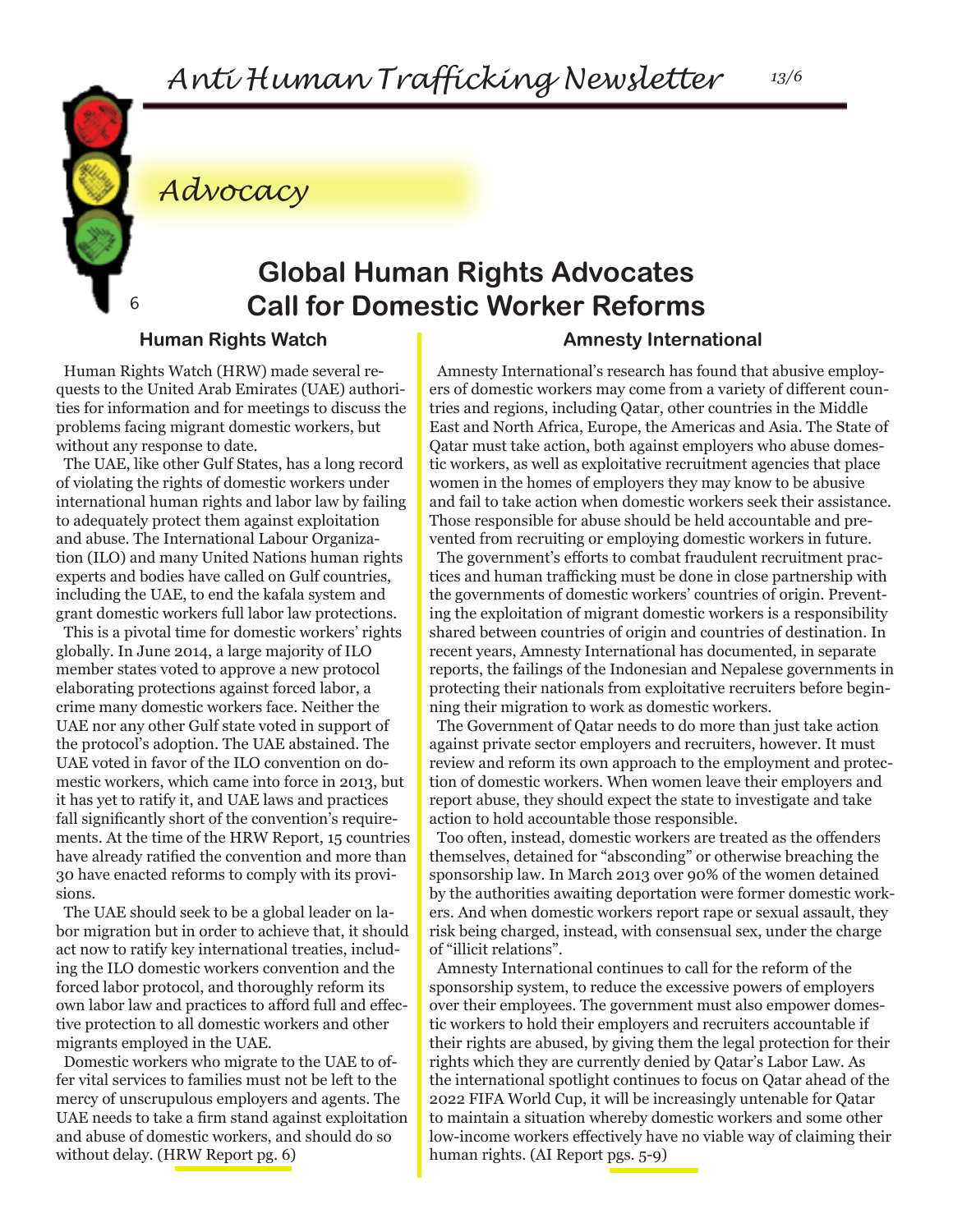*Advocacy*

## **Global Human Rights Advocates Call for Domestic Worker Reforms**

#### **Human Rights Watch**

6

Human Rights Watch (HRW) made several requests to the United Arab Emirates (UAE) authorities for information and for meetings to discuss the problems facing migrant domestic workers, but without any response to date.

The UAE, like other Gulf States, has a long record of violating the rights of domestic workers under international human rights and labor law by failing to adequately protect them against exploitation and abuse. The International Labour Organization (ILO) and many United Nations human rights experts and bodies have called on Gulf countries, including the UAE, to end the kafala system and grant domestic workers full labor law protections.

This is a pivotal time for domestic workers' rights globally. In June 2014, a large majority of ILO member states voted to approve a new protocol elaborating protections against forced labor, a crime many domestic workers face. Neither the UAE nor any other Gulf state voted in support of the protocol's adoption. The UAE abstained. The UAE voted in favor of the ILO convention on domestic workers, which came into force in 2013, but it has yet to ratify it, and UAE laws and practices fall significantly short of the convention's requirements. At the time of the HRW Report, 15 countries have already ratified the convention and more than 30 have enacted reforms to comply with its provisions.

The UAE should seek to be a global leader on labor migration but in order to achieve that, it should act now to ratify key international treaties, including the ILO domestic workers convention and the forced labor protocol, and thoroughly reform its own labor law and practices to afford full and effective protection to all domestic workers and other migrants employed in the UAE.

Domestic workers who migrate to the UAE to offer vital services to families must not be left to the mercy of unscrupulous employers and agents. The UAE needs to take a firm stand against exploitation and abuse of domestic workers, and should do so without delay. (HRW Report pg. 6)

#### **Amnesty International**

Amnesty International's research has found that abusive employers of domestic workers may come from a variety of different countries and regions, including Qatar, other countries in the Middle East and North Africa, Europe, the Americas and Asia. The State of Qatar must take action, both against employers who abuse domestic workers, as well as exploitative recruitment agencies that place women in the homes of employers they may know to be abusive and fail to take action when domestic workers seek their assistance. Those responsible for abuse should be held accountable and prevented from recruiting or employing domestic workers in future.

The government's efforts to combat fraudulent recruitment practices and human trafficking must be done in close partnership with the governments of domestic workers' countries of origin. Preventing the exploitation of migrant domestic workers is a responsibility shared between countries of origin and countries of destination. In recent years, Amnesty International has documented, in separate reports, the failings of the Indonesian and Nepalese governments in protecting their nationals from exploitative recruiters before beginning their migration to work as domestic workers.

The Government of Qatar needs to do more than just take action against private sector employers and recruiters, however. It must review and reform its own approach to the employment and protection of domestic workers. When women leave their employers and report abuse, they should expect the state to investigate and take action to hold accountable those responsible.

Too often, instead, domestic workers are treated as the offenders themselves, detained for "absconding" or otherwise breaching the sponsorship law. In March 2013 over 90% of the women detained by the authorities awaiting deportation were former domestic workers. And when domestic workers report rape or sexual assault, they risk being charged, instead, with consensual sex, under the charge of "illicit relations".

Amnesty International continues to call for the reform of the sponsorship system, to reduce the excessive powers of employers over their employees. The government must also empower domestic workers to hold their employers and recruiters accountable if their rights are abused, by giving them the legal protection for their rights which they are currently denied by Qatar's Labor Law. As the international spotlight continues to focus on Qatar ahead of the 2022 FIFA World Cup, it will be increasingly untenable for Qatar to maintain a situation whereby domestic workers and some other low-income workers effectively have no viable way of claiming their human rights. (AI Report pgs. 5-9)